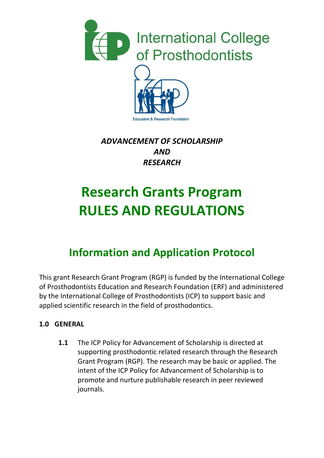



& Research Foundation

### *ADVANCEMENT OF SCHOLARSHIP AND RESEARCH*

# **Research Grants Program RULES AND REGULATIONS**

## **Information and Application Protocol**

This grant Research Grant Program (RGP) is funded by the International College of Prosthodontists Education and Research Foundation (ERF) and administered by the International College of Prosthodontists (ICP) to support basic and applied scientific research in the field of prosthodontics.

#### **1.0 GENERAL**

**1.1** The ICP Policy for Advancement of Scholarship is directed at supporting prosthodontic related research through the Research Grant Program (RGP). The research may be basic or applied. The intent of the ICP Policy for Advancement of Scholarship is to promote and nurture publishable research in peer reviewed journals.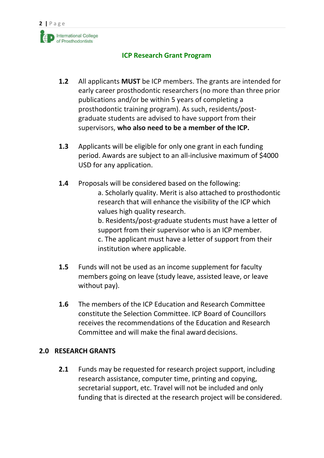

- **1.2** All applicants **MUST** be ICP members. The grants are intended for early career prosthodontic researchers (no more than three prior publications and/or be within 5 years of completing a prosthodontic training program). As such, residents/postgraduate students are advised to have support from their supervisors, **who also need to be a member of the ICP.**
- **1.3** Applicants will be eligible for only one grant in each funding period. Awards are subject to an all-inclusive maximum of \$4000 USD for any application.
- **1.4** Proposals will be considered based on the following: a. Scholarly quality. Merit is also attached to prosthodontic research that will enhance the visibility of the ICP which values high quality research. b. Residents/post-graduate students must have a letter of support from their supervisor who is an ICP member. c. The applicant must have a letter of support from their institution where applicable.
- **1.5** Funds will not be used as an income supplement for faculty members going on leave (study leave, assisted leave, or leave without pay).
- **1.6** The members of the ICP Education and Research Committee constitute the Selection Committee. ICP Board of Councillors receives the recommendations of the Education and Research Committee and will make the final award decisions.

#### **2.0 RESEARCH GRANTS**

**2.1** Funds may be requested for research project support, including research assistance, computer time, printing and copying, secretarial support, etc. Travel will not be included and only funding that is directed at the research project will be considered.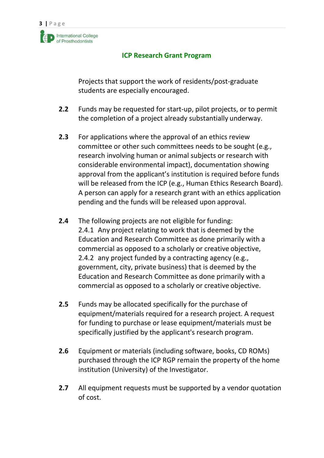Projects that support the work of residents/post-graduate students are especially encouraged.

- **2.2** Funds may be requested for start-up, pilot projects, or to permit the completion of a project already substantially underway.
- **2.3** For applications where the approval of an ethics review committee or other such committees needs to be sought (e.g., research involving human or animal subjects or research with considerable environmental impact), documentation showing approval from the applicant's institution is required before funds will be released from the ICP (e.g., Human Ethics Research Board). A person can apply for a research grant with an ethics application pending and the funds will be released upon approval.
- **2.4** The following projects are not eligible for funding: 2.4.1 Any project relating to work that is deemed by the Education and Research Committee as done primarily with a commercial as opposed to a scholarly or creative objective, 2.4.2 any project funded by a contracting agency (e.g., government, city, private business) that is deemed by the Education and Research Committee as done primarily with a commercial as opposed to a scholarly or creative objective.
- **2.5** Funds may be allocated specifically for the purchase of equipment/materials required for a research project. A request for funding to purchase or lease equipment/materials must be specifically justified by the applicant's research program.
- **2.6** Equipment or materials (including software, books, CD ROMs) purchased through the ICP RGP remain the property of the home institution (University) of the Investigator.
- **2.7** All equipment requests must be supported by a vendor quotation of cost.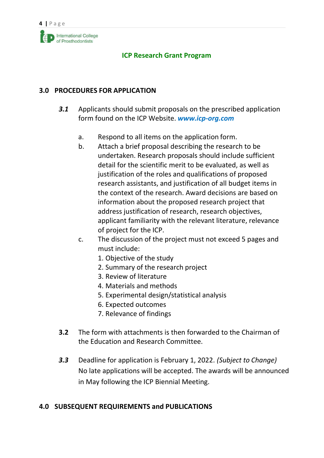

#### **3.0 PROCEDURES FOR APPLICATION**

- *3.1* Applicants should submit proposals on the prescribed application form found on the ICP Website. *[www.icp-org.com](http://www.icp-org.com/)*
	- a. Respond to all items on the application form.
	- b. Attach a brief proposal describing the research to be undertaken. Research proposals should include sufficient detail for the scientific merit to be evaluated, as well as justification of the roles and qualifications of proposed research assistants, and justification of all budget items in the context of the research. Award decisions are based on information about the proposed research project that address justification of research, research objectives, applicant familiarity with the relevant literature, relevance of project for the ICP.
	- c. The discussion of the project must not exceed 5 pages and must include:
		- 1. Objective of the study
		- 2. Summary of the research project
		- 3. Review of literature
		- 4. Materials and methods
		- 5. Experimental design/statistical analysis
		- 6. Expected outcomes
		- 7. Relevance of findings
- **3.2** The form with attachments is then forwarded to the Chairman of the Education and Research Committee.
- *3.3* Deadline for application is February 1, 2022. *(Subject to Change)* No late applications will be accepted. The awards will be announced in May following the ICP Biennial Meeting.

#### **4.0 SUBSEQUENT REQUIREMENTS and PUBLICATIONS**